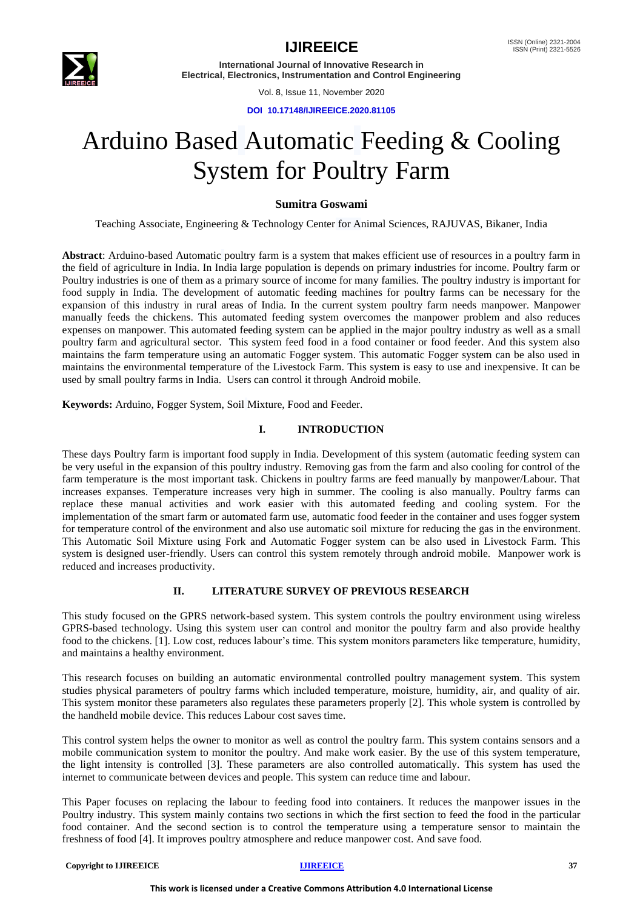

Vol. 8, Issue 11, November 2020

**DOI 10.17148/IJIREEICE.2020.81105**

# Arduino Based Automatic Feeding & Cooling System for Poultry Farm

### **Sumitra Goswami**

Teaching Associate, Engineering & Technology Center for Animal Sciences, RAJUVAS, Bikaner, India

**Abstract**: Arduino-based Automatic poultry farm is a system that makes efficient use of resources in a poultry farm in the field of agriculture in India. In India large population is depends on primary industries for income. Poultry farm or Poultry industries is one of them as a primary source of income for many families. The poultry industry is important for food supply in India. The development of automatic feeding machines for poultry farms can be necessary for the expansion of this industry in rural areas of India. In the current system poultry farm needs manpower. Manpower manually feeds the chickens. This automated feeding system overcomes the manpower problem and also reduces expenses on manpower. This automated feeding system can be applied in the major poultry industry as well as a small poultry farm and agricultural sector. This system feed food in a food container or food feeder. And this system also maintains the farm temperature using an automatic Fogger system. This automatic Fogger system can be also used in maintains the environmental temperature of the Livestock Farm. This system is easy to use and inexpensive. It can be used by small poultry farms in India. Users can control it through Android mobile.

**Keywords:** Arduino, Fogger System, Soil Mixture, Food and Feeder.

### **I. INTRODUCTION**

These days Poultry farm is important food supply in India. Development of this system (automatic feeding system can be very useful in the expansion of this poultry industry. Removing gas from the farm and also cooling for control of the farm temperature is the most important task. Chickens in poultry farms are feed manually by manpower/Labour. That increases expanses. Temperature increases very high in summer. The cooling is also manually. Poultry farms can replace these manual activities and work easier with this automated feeding and cooling system. For the implementation of the smart farm or automated farm use, automatic food feeder in the container and uses fogger system for temperature control of the environment and also use automatic soil mixture for reducing the gas in the environment. This Automatic Soil Mixture using Fork and Automatic Fogger system can be also used in Livestock Farm. This system is designed user-friendly. Users can control this system remotely through android mobile. Manpower work is reduced and increases productivity.

### **II. LITERATURE SURVEY OF PREVIOUS RESEARCH**

This study focused on the GPRS network-based system. This system controls the poultry environment using wireless GPRS-based technology. Using this system user can control and monitor the poultry farm and also provide healthy food to the chickens. [1]. Low cost, reduces labour's time. This system monitors parameters like temperature, humidity, and maintains a healthy environment.

This research focuses on building an automatic environmental controlled poultry management system. This system studies physical parameters of poultry farms which included temperature, moisture, humidity, air, and quality of air. This system monitor these parameters also regulates these parameters properly [2]. This whole system is controlled by the handheld mobile device. This reduces Labour cost saves time.

This control system helps the owner to monitor as well as control the poultry farm. This system contains sensors and a mobile communication system to monitor the poultry. And make work easier. By the use of this system temperature, the light intensity is controlled [3]. These parameters are also controlled automatically. This system has used the internet to communicate between devices and people. This system can reduce time and labour.

This Paper focuses on replacing the labour to feeding food into containers. It reduces the manpower issues in the Poultry industry. This system mainly contains two sections in which the first section to feed the food in the particular food container. And the second section is to control the temperature using a temperature sensor to maintain the freshness of food [4]. It improves poultry atmosphere and reduce manpower cost. And save food.

#### **Copyright to IJIREEICE** 37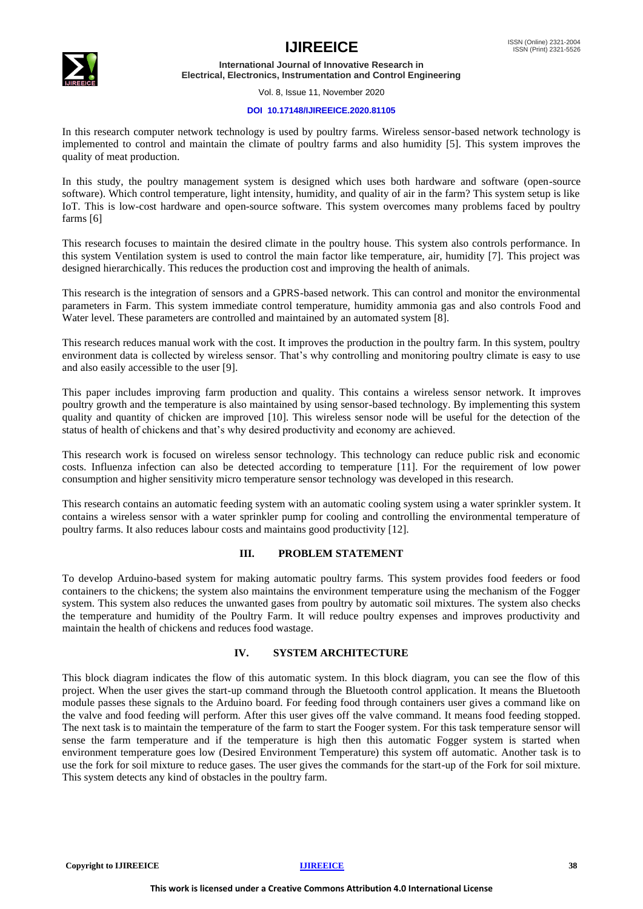

Vol. 8, Issue 11, November 2020

#### **DOI 10.17148/IJIREEICE.2020.81105**

In this research computer network technology is used by poultry farms. Wireless sensor-based network technology is implemented to control and maintain the climate of poultry farms and also humidity [5]. This system improves the quality of meat production.

In this study, the poultry management system is designed which uses both hardware and software (open-source software). Which control temperature, light intensity, humidity, and quality of air in the farm? This system setup is like IoT. This is low-cost hardware and open-source software. This system overcomes many problems faced by poultry farms [6]

This research focuses to maintain the desired climate in the poultry house. This system also controls performance. In this system Ventilation system is used to control the main factor like temperature, air, humidity [7]. This project was designed hierarchically. This reduces the production cost and improving the health of animals.

This research is the integration of sensors and a GPRS-based network. This can control and monitor the environmental parameters in Farm. This system immediate control temperature, humidity ammonia gas and also controls Food and Water level. These parameters are controlled and maintained by an automated system [8].

This research reduces manual work with the cost. It improves the production in the poultry farm. In this system, poultry environment data is collected by wireless sensor. That's why controlling and monitoring poultry climate is easy to use and also easily accessible to the user [9].

This paper includes improving farm production and quality. This contains a wireless sensor network. It improves poultry growth and the temperature is also maintained by using sensor-based technology. By implementing this system quality and quantity of chicken are improved [10]. This wireless sensor node will be useful for the detection of the status of health of chickens and that's why desired productivity and economy are achieved.

This research work is focused on wireless sensor technology. This technology can reduce public risk and economic costs. Influenza infection can also be detected according to temperature [11]. For the requirement of low power consumption and higher sensitivity micro temperature sensor technology was developed in this research.

This research contains an automatic feeding system with an automatic cooling system using a water sprinkler system. It contains a wireless sensor with a water sprinkler pump for cooling and controlling the environmental temperature of poultry farms. It also reduces labour costs and maintains good productivity [12].

#### **III. PROBLEM STATEMENT**

To develop Arduino-based system for making automatic poultry farms. This system provides food feeders or food containers to the chickens; the system also maintains the environment temperature using the mechanism of the Fogger system. This system also reduces the unwanted gases from poultry by automatic soil mixtures. The system also checks the temperature and humidity of the Poultry Farm. It will reduce poultry expenses and improves productivity and maintain the health of chickens and reduces food wastage.

### **IV. SYSTEM ARCHITECTURE**

This block diagram indicates the flow of this automatic system. In this block diagram, you can see the flow of this project. When the user gives the start-up command through the Bluetooth control application. It means the Bluetooth module passes these signals to the Arduino board. For feeding food through containers user gives a command like on the valve and food feeding will perform. After this user gives off the valve command. It means food feeding stopped. The next task is to maintain the temperature of the farm to start the Fooger system. For this task temperature sensor will sense the farm temperature and if the temperature is high then this automatic Fogger system is started when environment temperature goes low (Desired Environment Temperature) this system off automatic. Another task is to use the fork for soil mixture to reduce gases. The user gives the commands for the start-up of the Fork for soil mixture. This system detects any kind of obstacles in the poultry farm.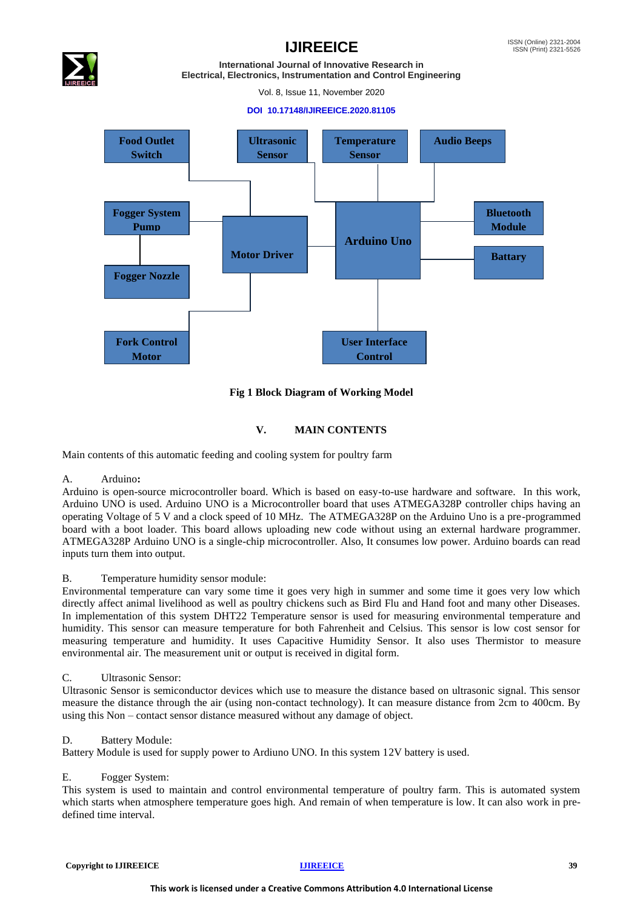

Vol. 8, Issue 11, November 2020

#### **DOI 10.17148/IJIREEICE.2020.81105**



#### **Fig 1 Block Diagram of Working Model**

### **V. MAIN CONTENTS**

Main contents of this automatic feeding and cooling system for poultry farm

#### A. Arduino**:**

Arduino is open-source microcontroller board. Which is based on easy-to-use hardware and software. In this work, Arduino UNO is used. Arduino UNO is a Microcontroller board that uses ATMEGA328P controller chips having an operating Voltage of 5 V and a clock speed of 10 MHz. The ATMEGA328P on the Arduino Uno is a pre-programmed board with a boot loader. This board allows uploading new code without using an external hardware programmer. ATMEGA328P Arduino UNO is a single-chip microcontroller. Also, It consumes low power. Arduino boards can read inputs turn them into output.

#### B. Temperature humidity sensor module:

Environmental temperature can vary some time it goes very high in summer and some time it goes very low which directly affect animal livelihood as well as poultry chickens such as Bird Flu and Hand foot and many other Diseases. In implementation of this system DHT22 Temperature sensor is used for measuring environmental temperature and humidity. This sensor can measure temperature for both Fahrenheit and Celsius. This sensor is low cost sensor for measuring temperature and humidity. It uses Capacitive Humidity Sensor. It also uses Thermistor to measure environmental air. The measurement unit or output is received in digital form.

#### C. Ultrasonic Sensor:

Ultrasonic Sensor is semiconductor devices which use to measure the distance based on ultrasonic signal. This sensor measure the distance through the air (using non-contact technology). It can measure distance from 2cm to 400cm. By using this Non – contact sensor distance measured without any damage of object.

#### D. Battery Module:

Battery Module is used for supply power to Ardiuno UNO. In this system 12V battery is used.

#### E. Fogger System:

This system is used to maintain and control environmental temperature of poultry farm. This is automated system which starts when atmosphere temperature goes high. And remain of when temperature is low. It can also work in predefined time interval.

**Copyright to IJIREEICE** 39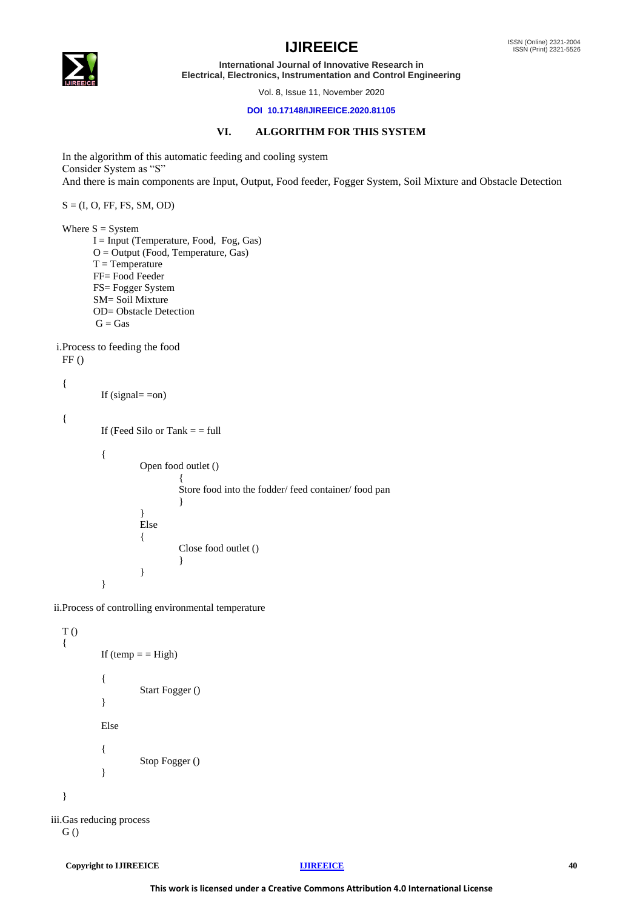

## **IJIREEICE ISSN** (Online) 2321-2004

**International Journal of Innovative Research in Electrical, Electronics, Instrumentation and Control Engineering**

Vol. 8, Issue 11, November 2020

#### **DOI 10.17148/IJIREEICE.2020.81105**

### **VI. ALGORITHM FOR THIS SYSTEM**

In the algorithm of this automatic feeding and cooling system Consider System as "S" And there is main components are Input, Output, Food feeder, Fogger System, Soil Mixture and Obstacle Detection

 $S = (I, O, FF, FS, SM, OD)$ 

Where  $S = System$  I = Input (Temperature, Food, Fog, Gas) O = Output (Food, Temperature, Gas)  $T = Temperature$  FF= Food Feeder FS= Fogger System SM= Soil Mixture OD= Obstacle Detection  $G = Gas$ 

i.Process to feeding the food  $FF()$ 

```
{
```

```
If (signal = \text{on})
```
{

```
If (Feed Silo or Tank = = full
{
          Open food outlet ()
                    { 
                    Store food into the fodder/ feed container/ food pan
                    }
          }
         Else
          {
                    Close food outlet ()
                    }
```
}

ii.Process of controlling environmental temperature

}

```
T ()
  {
            If temp = = High)
            {
                      Start Fogger ()
             }
            Else
            {
                      Stop Fogger ()
            }
  }
iii.Gas reducing process
```

```
G ()
```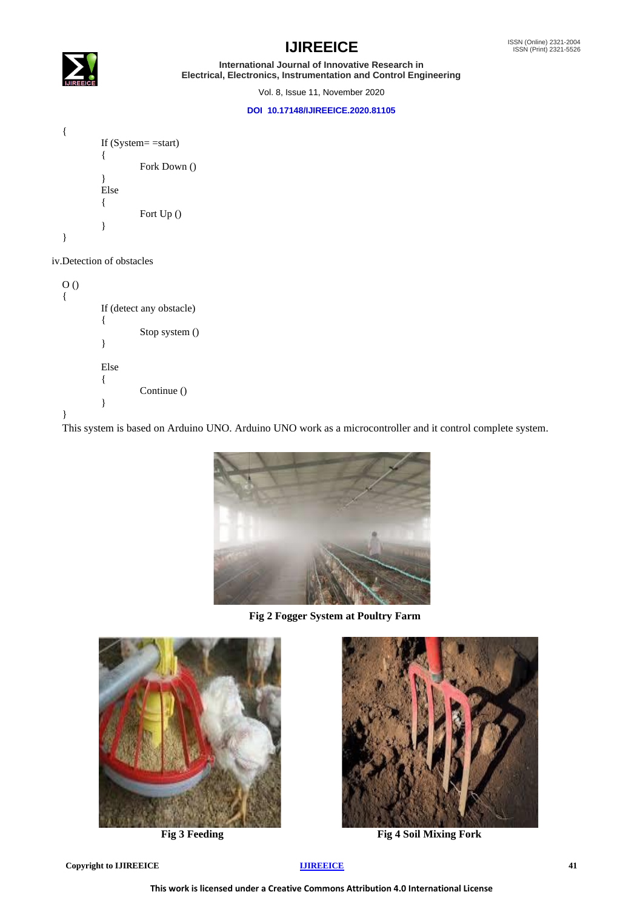

Vol. 8, Issue 11, November 2020

#### **DOI 10.17148/IJIREEICE.2020.81105**



### iv.Detection of obstacles

| O( | If (detect any obstacle)<br>Stop system () |  |
|----|--------------------------------------------|--|
|    | Else<br>Continue ()                        |  |

This system is based on Arduino UNO. Arduino UNO work as a microcontroller and it control complete system.



 **Fig 2 Fogger System at Poultry Farm**





**Fig 3 Feeding Fig 4 Soil Mixing Fork**

**Copyright to IJIREEICE [IJIREEICE](https://ijireeice.com/) 41**